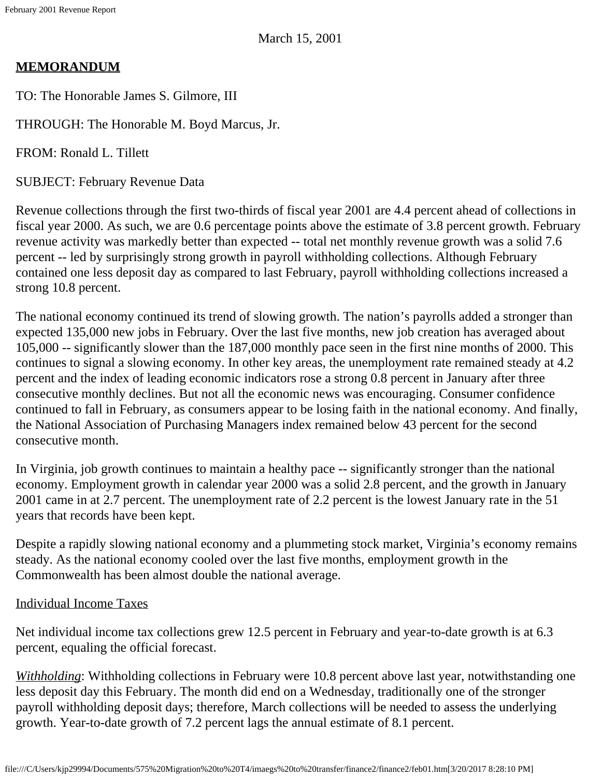# **MEMORANDUM**

TO: The Honorable James S. Gilmore, III

THROUGH: The Honorable M. Boyd Marcus, Jr.

FROM: Ronald L. Tillett

SUBJECT: February Revenue Data

Revenue collections through the first two-thirds of fiscal year 2001 are 4.4 percent ahead of collections in fiscal year 2000. As such, we are 0.6 percentage points above the estimate of 3.8 percent growth. February revenue activity was markedly better than expected -- total net monthly revenue growth was a solid 7.6 percent -- led by surprisingly strong growth in payroll withholding collections. Although February contained one less deposit day as compared to last February, payroll withholding collections increased a strong 10.8 percent.

The national economy continued its trend of slowing growth. The nation's payrolls added a stronger than expected 135,000 new jobs in February. Over the last five months, new job creation has averaged about 105,000 -- significantly slower than the 187,000 monthly pace seen in the first nine months of 2000. This continues to signal a slowing economy. In other key areas, the unemployment rate remained steady at 4.2 percent and the index of leading economic indicators rose a strong 0.8 percent in January after three consecutive monthly declines. But not all the economic news was encouraging. Consumer confidence continued to fall in February, as consumers appear to be losing faith in the national economy. And finally, the National Association of Purchasing Managers index remained below 43 percent for the second consecutive month.

In Virginia, job growth continues to maintain a healthy pace -- significantly stronger than the national economy. Employment growth in calendar year 2000 was a solid 2.8 percent, and the growth in January 2001 came in at 2.7 percent. The unemployment rate of 2.2 percent is the lowest January rate in the 51 years that records have been kept.

Despite a rapidly slowing national economy and a plummeting stock market, Virginia's economy remains steady. As the national economy cooled over the last five months, employment growth in the Commonwealth has been almost double the national average.

## Individual Income Taxes

Net individual income tax collections grew 12.5 percent in February and year-to-date growth is at 6.3 percent, equaling the official forecast.

*Withholding*: Withholding collections in February were 10.8 percent above last year, notwithstanding one less deposit day this February. The month did end on a Wednesday, traditionally one of the stronger payroll withholding deposit days; therefore, March collections will be needed to assess the underlying growth. Year-to-date growth of 7.2 percent lags the annual estimate of 8.1 percent.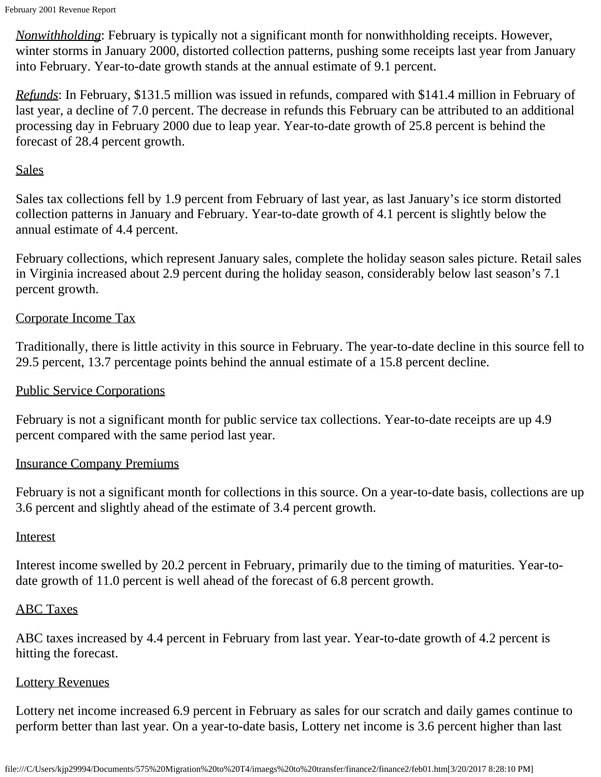February 2001 Revenue Report

*Nonwithholding*: February is typically not a significant month for nonwithholding receipts. However, winter storms in January 2000, distorted collection patterns, pushing some receipts last year from January into February. Year-to-date growth stands at the annual estimate of 9.1 percent.

*Refunds*: In February, \$131.5 million was issued in refunds, compared with \$141.4 million in February of last year, a decline of 7.0 percent. The decrease in refunds this February can be attributed to an additional processing day in February 2000 due to leap year. Year-to-date growth of 25.8 percent is behind the forecast of 28.4 percent growth.

## **Sales**

Sales tax collections fell by 1.9 percent from February of last year, as last January's ice storm distorted collection patterns in January and February. Year-to-date growth of 4.1 percent is slightly below the annual estimate of 4.4 percent.

February collections, which represent January sales, complete the holiday season sales picture. Retail sales in Virginia increased about 2.9 percent during the holiday season, considerably below last season's 7.1 percent growth.

## Corporate Income Tax

Traditionally, there is little activity in this source in February. The year-to-date decline in this source fell to 29.5 percent, 13.7 percentage points behind the annual estimate of a 15.8 percent decline.

### Public Service Corporations

February is not a significant month for public service tax collections. Year-to-date receipts are up 4.9 percent compared with the same period last year.

### Insurance Company Premiums

February is not a significant month for collections in this source. On a year-to-date basis, collections are up 3.6 percent and slightly ahead of the estimate of 3.4 percent growth.

#### **Interest**

Interest income swelled by 20.2 percent in February, primarily due to the timing of maturities. Year-todate growth of 11.0 percent is well ahead of the forecast of 6.8 percent growth.

### ABC Taxes

ABC taxes increased by 4.4 percent in February from last year. Year-to-date growth of 4.2 percent is hitting the forecast.

#### Lottery Revenues

Lottery net income increased 6.9 percent in February as sales for our scratch and daily games continue to perform better than last year. On a year-to-date basis, Lottery net income is 3.6 percent higher than last